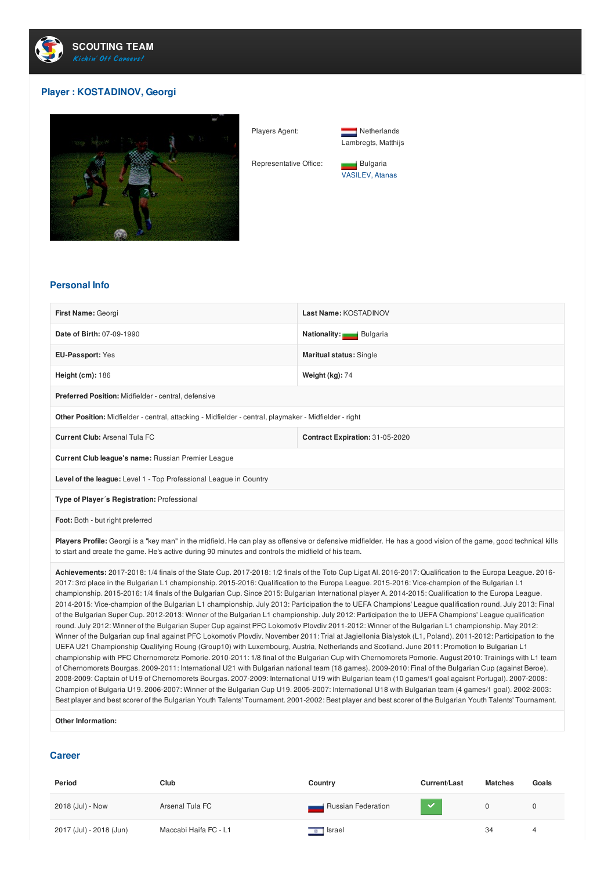

## **Player : KOSTADINOV, Georgi**





Representative Office: **Bulgaria** 

Lambregts, Matthijs

VASILEV, Atanas

## **Personal Info**

| First Name: Georgi                                                                                     | Last Name: KOSTADINOV           |  |  |  |
|--------------------------------------------------------------------------------------------------------|---------------------------------|--|--|--|
| Date of Birth: 07-09-1990                                                                              | Nationality: Bulgaria           |  |  |  |
| <b>EU-Passport: Yes</b>                                                                                | <b>Maritual status: Single</b>  |  |  |  |
| <b>Height (cm): 186</b>                                                                                | Weight $(kg)$ : 74              |  |  |  |
| <b>Preferred Position:</b> Midfielder - central, defensive                                             |                                 |  |  |  |
| Other Position: Midfielder - central, attacking - Midfielder - central, playmaker - Midfielder - right |                                 |  |  |  |
| <b>Current Club: Arsenal Tula FC</b>                                                                   | Contract Expiration: 31-05-2020 |  |  |  |
| Current Club league's name: Russian Premier League                                                     |                                 |  |  |  |
| Level of the league: Level 1 - Top Professional League in Country                                      |                                 |  |  |  |
| Type of Player's Registration: Professional                                                            |                                 |  |  |  |
| <b>Foot:</b> Both - but right preferred                                                                |                                 |  |  |  |

Players Profile: Georgi is a "key man" in the midfield. He can play as offensive or defensive midfielder. He has a good vision of the game, good technical kills to start and create the game. He's active during 90 minutes and controls the midfield of his team.

**Achievements:** 2017-2018: 1/4 finals of the State Cup. 2017-2018: 1/2 finals of the Toto Cup Ligat Al. 2016-2017: Qualification to the Europa League. 2016- 2017: 3rd place in the Bulgarian L1 championship. 2015-2016: Qualification to the Europa League. 2015-2016: Vice-champion of the Bulgarian L1 championship. 2015-2016: 1/4 finals of the Bulgarian Cup. Since 2015: Bulgarian International player A. 2014-2015: Qualification to the Europa League. 2014-2015: Vice-champion of the Bulgarian L1 championship. July 2013: Participation the to UEFA Champions' League qualification round. July 2013: Final of the Bulgarian Super Cup. 2012-2013: Winner of the Bulgarian L1 championship. July 2012: Participation the to UEFA Champions' League qualification round. July 2012: Winner of the Bulgarian Super Cup against PFC Lokomotiv Plovdiv 2011-2012: Winner of the Bulgarian L1 championship. May 2012: Winner of the Bulgarian cup final against PFC Lokomotiv Plovdiv. November 2011: Trial at Jagiellonia Bialystok (L1, Poland). 2011-2012: Participation to the UEFA U21 Championship Qualifying Roung (Group10) with Luxembourg, Austria, Netherlands and Scotland. June 2011: Promotion to Bulgarian L1 championship with PFC Chernomoretz Pomorie. 2010-2011: 1/8 final of the Bulgarian Cup with Chernomorets Pomorie. August 2010: Trainings with L1 team of Chernomorets Bourgas. 2009-2011: International U21 with Bulgarian national team (18 games). 2009-2010: Final of the Bulgarian Cup (against Beroe). 2008-2009: Captain of U19 of Chernomorets Bourgas. 2007-2009: International U19 with Bulgarian team (10 games/1 goal agaisnt Portugal). 2007-2008: Champion of Bulgaria U19. 2006-2007: Winner of the Bulgarian Cup U19. 2005-2007: International U18 with Bulgarian team (4 games/1 goal). 2002-2003: Best player and best scorer of the Bulgarian Youth Talents' Tournament. 2001-2002: Best player and best scorer of the Bulgarian Youth Talents' Tournament.

## **Other Information:**

## **Career**

| Period                  | Club                  | Country            | Current/Last             | <b>Matches</b> | Goals |
|-------------------------|-----------------------|--------------------|--------------------------|----------------|-------|
| 2018 (Jul) - Now        | Arsenal Tula FC       | Russian Federation | $\overline{\mathcal{L}}$ |                |       |
| 2017 (Jul) - 2018 (Jun) | Maccabi Haifa FC - L1 | Israel             |                          | 34             | 4     |